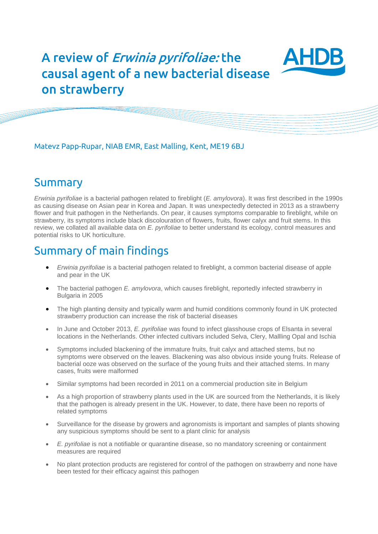# A review of Erwinia pyrifoliae: the causal agent of a new bacterial disease on strawberry



Matevz Papp-Rupar, NIAB EMR, East Malling, Kent, ME19 6BJ

### Summary

*Erwinia pyrifoliae* is a bacterial pathogen related to fireblight (*E. amylovora*). It was first described in the 1990s as causing disease on Asian pear in Korea and Japan. It was unexpectedly detected in 2013 as a strawberry flower and fruit pathogen in the Netherlands. On pear, it causes symptoms comparable to fireblight, while on strawberry, its symptoms include black discolouration of flowers, fruits, flower calyx and fruit stems. In this review, we collated all available data on *E. pyrifoliae* to better understand its ecology, control measures and potential risks to UK horticulture.

## Summary of main findings

- *Erwinia pyrifoliae* is a bacterial pathogen related to fireblight, a common bacterial disease of apple and pear in the UK
- The bacterial pathogen *E. amylovora*, which causes fireblight, reportedly infected strawberry in Bulgaria in 2005
- The high planting density and typically warm and humid conditions commonly found in UK protected strawberry production can increase the risk of bacterial diseases
- In June and October 2013, *E. pyrifoliae* was found to infect glasshouse crops of Elsanta in several locations in the Netherlands. Other infected cultivars included Selva, Clery, Mallling Opal and Ischia
- Symptoms included blackening of the immature fruits, fruit calyx and attached stems, but no symptoms were observed on the leaves. Blackening was also obvious inside young fruits. Release of bacterial ooze was observed on the surface of the young fruits and their attached stems. In many cases, fruits were malformed
- Similar symptoms had been recorded in 2011 on a commercial production site in Belgium
- As a high proportion of strawberry plants used in the UK are sourced from the Netherlands, it is likely that the pathogen is already present in the UK. However, to date, there have been no reports of related symptoms
- Surveillance for the disease by growers and agronomists is important and samples of plants showing any suspicious symptoms should be sent to a plant clinic for analysis
- *E. pyrifoliae* is not a notifiable or quarantine disease, so no mandatory screening or containment measures are required
- No plant protection products are registered for control of the pathogen on strawberry and none have been tested for their efficacy against this pathogen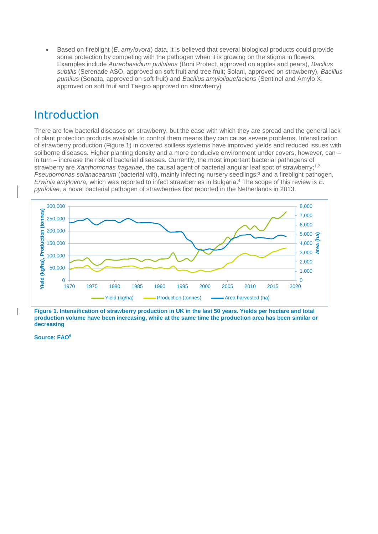Based on fireblight (*E. amylovora*) data, it is believed that several biological products could provide some protection by competing with the pathogen when it is growing on the stigma in flowers. Examples include *Aureobasidium pullulans* (Boni Protect, approved on apples and pears), *Bacillus subtilis* (Serenade ASO, approved on soft fruit and tree fruit; Solani, approved on strawberry), *Bacillus pumilus* (Sonata, approved on soft fruit) and *Bacillus amyloliquefaciens* (Sentinel and Amylo X, approved on soft fruit and Taegro approved on strawberry)

## Introduction

There are few bacterial diseases on strawberry, but the ease with which they are spread and the general lack of plant protection products available to control them means they can cause severe problems. Intensification of strawberry production (Figure 1) in covered soilless systems have improved yields and reduced issues with soilborne diseases. Higher planting density and a more conducive environment under covers, however, can – in turn – increase the risk of bacterial diseases. Currently, the most important bacterial pathogens of strawberry are *Xanthomonas fragariae*, the causal agent of bacterial angular leaf spot of strawberry;<sup>1,2</sup> *Pseudomonas solanacearum* (bacterial wilt), mainly infecting nursery seedlings; <sup>3</sup> and a fireblight pathogen, *Erwinia amylovora,* which was reported to infect strawberries in Bulgaria. <sup>4</sup> The scope of this review is *E. pyrifoliae,* a novel bacterial pathogen of strawberries first reported in the Netherlands in 2013.



**Figure 1. Intensification of strawberry production in UK in the last 50 years. Yields per hectare and total production volume have been increasing, while at the same time the production area has been similar or decreasing**

**Source: FAO<sup>5</sup>**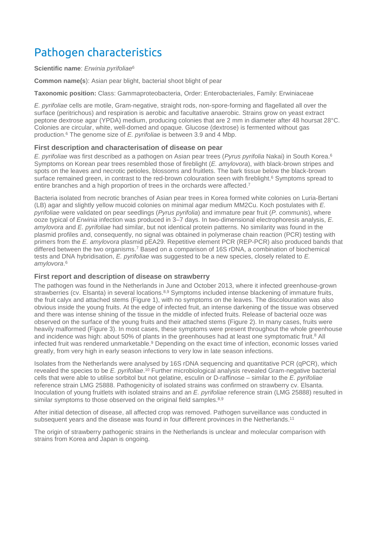# Pathogen characteristics

#### **Scientific name**: *Erwinia pyrifoliae*<sup>6</sup>

**Common name(s**): Asian pear blight, bacterial shoot blight of pear

**Taxonomic position:** Class: Gammaproteobacteria, Order: Enterobacteriales, Family: Erwiniaceae

*E. pyrifoliae* cells are motile, Gram-negative, straight rods, non-spore-forming and flagellated all over the surface (peritrichous) and respiration is aerobic and facultative anaerobic. Strains grow on yeast extract peptone dextrose agar (YPDA) medium, producing colonies that are 2 mm in diameter after 48 hoursat 28°C. Colonies are circular, white, well-domed and opaque. Glucose (dextrose) is fermented without gas production. <sup>6</sup> The genome size of *E. pyrifoliae* is between 3.9 and 4 Mbp.

### **First description and characterisation of disease on pear**

*E. pyrifoliae* was first described as a pathogen on Asian pear trees (*Pyrus pyrifolia* Nakai) in South Korea. 6 Symptoms on Korean pear trees resembled those of fireblight (*E. amylovora*), with black-brown stripes and spots on the leaves and necrotic petioles, blossoms and fruitlets. The bark tissue below the black-brown surface remained green, in contrast to the red-brown colouration seen with fireblight.<sup>6</sup> Symptoms spread to entire branches and a high proportion of trees in the orchards were affected.<sup>7</sup>

Bacteria isolated from necrotic branches of Asian pear trees in Korea formed white colonies on Luria-Bertani (LB) agar and slightly yellow mucoid colonies on minimal agar medium MM2Cu. Koch postulates with *E. pyrifoliae* were validated on pear seedlings (*Pyrus pyrifolia*) and immature pear fruit (*P. communis*), where ooze typical of *Erwinia* infection was produced in 3–7 days. In two-dimensional electrophoresis analysis, *E. amylovora* and *E. pyrifoliae* had similar, but not identical protein patterns. No similarity was found in the plasmid profiles and, consequently, no signal was obtained in polymerase chain reaction (PCR) testing with primers from the *E. amylovora* plasmid pEA29. Repetitive element PCR (REP-PCR) also produced bands that differed between the two organisms. <sup>7</sup> Based on a comparison of 16S rDNA, a combination of biochemical tests and DNA hybridisation, *E. pyrifoliae* was suggested to be a new species, closely related to *E. amylovora*. 6

#### **First report and description of disease on strawberry**

The pathogen was found in the Netherlands in June and October 2013, where it infected greenhouse-grown strawberries (cv. Elsanta) in several locations.<sup>8,9</sup> Symptoms included intense blackening of immature fruits, the fruit calyx and attached stems (Figure 1), with no symptoms on the leaves. The discolouration was also obvious inside the young fruits. At the edge of infected fruit, an intense darkening of the tissue was observed and there was intense shining of the tissue in the middle of infected fruits. Release of bacterial ooze was observed on the surface of the young fruits and their attached stems (Figure 2). In many cases, fruits were heavily malformed (Figure 3). In most cases, these symptoms were present throughout the whole greenhouse and incidence was high: about 50% of plants in the greenhouses had at least one symptomatic fruit. <sup>8</sup> All infected fruit was rendered unmarketable. <sup>9</sup> Depending on the exact time of infection, economic losses varied greatly, from very high in early season infections to very low in late season infections.

Isolates from the Netherlands were analysed by 16S rDNA sequencing and quantitative PCR (qPCR), which revealed the species to be E. pyrifoliae.<sup>10</sup> Further microbiological analysis revealed Gram-negative bacterial cells that were able to utilise sorbitol but not gelatine, esculin or D-raffinose – similar to the *E. pyrifoliae* reference strain LMG 25888. Pathogenicity of isolated strains was confirmed on strawberry cv. Elsanta. Inoculation of young fruitlets with isolated strains and an *E. pyrifoliae* reference strain (LMG 25888) resulted in similar symptoms to those observed on the original field samples.<sup>8,9</sup>

After initial detection of disease, all affected crop was removed. Pathogen surveillance was conducted in subsequent years and the disease was found in four different provinces in the Netherlands.<sup>11</sup>

The origin of strawberry pathogenic strains in the Netherlands is unclear and molecular comparison with strains from Korea and Japan is ongoing.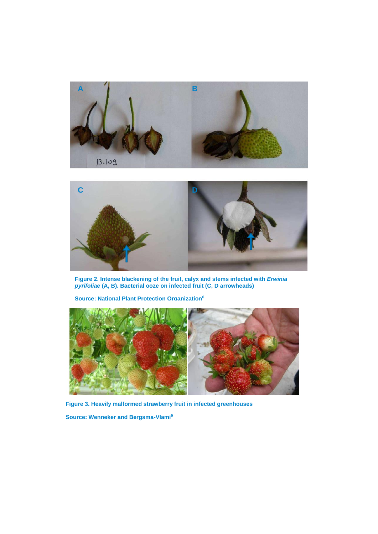



**Figure 2. Intense blackening of the fruit, calyx and stems infected with** *Erwinia pyrifoliae* **(A, B). Bacterial ooze on infected fruit (C, D arrowheads)** 

**Source: National Plant Protection Organization<sup>6</sup>**



**Figure 3. Heavily malformed strawberry fruit in infected greenhouses**

**Source: Wenneker and Bergsma-Vlami9**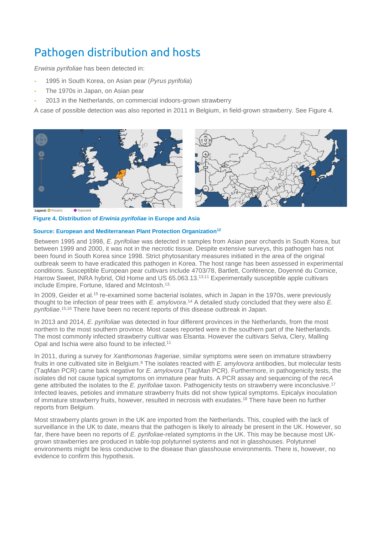# Pathogen distribution and hosts

*Erwinia pyrifoliae* has been detected in:

- **-** 1995 in South Korea, on Asian pear (*Pyrus pyrifolia*)
- **-** The 1970s in Japan, on Asian pear
- **-** 2013 in the Netherlands, on commercial indoors-grown strawberry

A case of possible detection was also reported in 2011 in Belgium, in field-grown strawberry. See Figure 4.





**Figure 4. Distribution of** *Erwinia pyrifoliae* **in Europe and Asia**

#### **Source: European and Mediterranean Plant Protection Organization12**

Between 1995 and 1998, *E. pyrifoliae* was detected in samples from Asian pear orchards in South Korea, but between 1999 and 2000, it was not in the necrotic tissue. Despite extensive surveys, this pathogen has not been found in South Korea since 1998. Strict phytosanitary measures initiated in the area of the original outbreak seem to have eradicated this pathogen in Korea. The host range has been assessed in experimental conditions. Susceptible European pear cultivars include 4703/78, Bartlett, Conférence, Doyenné du Comice, Harrow Sweet, INRA hybrid, Old Home and US 65.063.13.<sup>13,11</sup> Experimentally susceptible apple cultivars include Empire, Fortune, Idared and McIntosh. 13,

In 2009, Geider et al.<sup>15</sup> re-examined some bacterial isolates, which in Japan in the 1970s, were previously thought to be infection of pear trees with *E. amylovora*. <sup>14</sup> A detailed study concluded that they were also *E. pyrifoliae*. 15,16 There have been no recent reports of this disease outbreak in Japan.

In 2013 and 2014, *E. pyrifoliae* was detected in four different provinces in the Netherlands, from the most northern to the most southern province. Most cases reported were in the southern part of the Netherlands. The most commonly infected strawberry cultivar was Elsanta. However the cultivars Selva, Clery, Malling Opal and Ischia were also found to be infected.<sup>11</sup>

In 2011, during a survey for *Xanthomonas frageriae*, similar symptoms were seen on immature strawberry fruits in one cultivated site in Belgium.<sup>8</sup> The isolates reacted with *E. amylovora* antibodies, but molecular tests (TaqMan PCR) came back negative for *E. amylovora* (TaqMan PCR). Furthermore, in pathogenicity tests, the isolates did not cause typical symptoms on immature pear fruits. A PCR assay and sequencing of the *recA* gene attributed the isolates to the *E. pyrifoliae* taxon. Pathogenicity tests on strawberry were inconclusive. 17 Infected leaves, petioles and immature strawberry fruits did not show typical symptoms. Epicalyx inoculation of immature strawberry fruits, however, resulted in necrosis with exudates. <sup>18</sup> There have been no further reports from Belgium.

Most strawberry plants grown in the UK are imported from the Netherlands. This, coupled with the lack of surveillance in the UK to date, means that the pathogen is likely to already be present in the UK. However, so far, there have been no reports of *E. pyrifoliae-*related symptoms in the UK. This may be because most UKgrown strawberries are produced in table-top polytunnel systems and not in glasshouses. Polytunnel environments might be less conducive to the disease than glasshouse environments. There is, however, no evidence to confirm this hypothesis.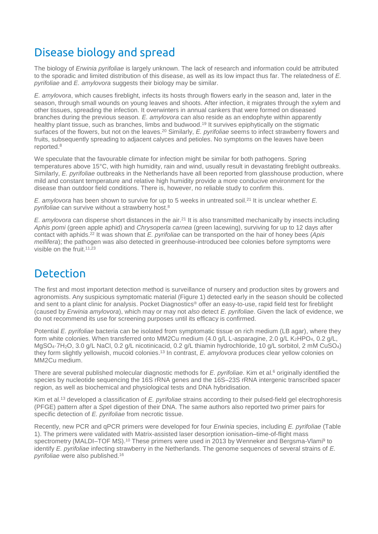## Disease biology and spread

The biology of *Erwinia pyrifoliae* is largely unknown. The lack of research and information could be attributed to the sporadic and limited distribution of this disease, as well as its low impact thus far. The relatedness of *E. pyrifoliae* and *E. amylovora* suggests their biology may be similar.

*E. amylovora*, which causes fireblight, infects its hosts through flowers early in the season and, later in the season, through small wounds on young leaves and shoots. After infection, it migrates through the xylem and other tissues, spreading the infection. It overwinters in annual cankers that were formed on diseased branches during the previous season. *E. amylovora* can also reside as an endophyte within apparently healthy plant tissue, such as branches, limbs and budwood.<sup>19</sup> It survives epiphytically on the stigmatic surfaces of the flowers, but not on the leaves. <sup>20</sup> Similarly, *E. pyrifoliae* seems to infect strawberry flowers and fruits, subsequently spreading to adjacent calyces and petioles. No symptoms on the leaves have been reported. 8

We speculate that the favourable climate for infection might be similar for both pathogens. Spring temperatures above 15°C, with high humidity, rain and wind, usually result in devastating fireblight outbreaks. Similarly, *E. pyrifoliae* outbreaks in the Netherlands have all been reported from glasshouse production, where mild and constant temperature and relative high humidity provide a more conducive environment for the disease than outdoor field conditions. There is, however, no reliable study to confirm this.

*E. amylovora* has been shown to survive for up to 5 weeks in untreated soil. 21 It is unclear whether *E. pyrifoliae* can survive without a strawberry host. 8

E. amylovora can disperse short distances in the air.<sup>21</sup> It is also transmitted mechanically by insects including *Aphis pomi* (green apple aphid) and *Chrysoperla carnea* (green lacewing), surviving for up to 12 days after contact with aphids. 22 It was shown that *E. pyrifoliae* can be transported on the hair of honey bees (*Apis mellifera*); the pathogen was also detected in greenhouse-introduced bee colonies before symptoms were visible on the fruit.<sup>11,23</sup>

## **Detection**

The first and most important detection method is surveillance of nursery and production sites by growers and agronomists. Any suspicious symptomatic material (Figure 1) detected early in the season should be collected and sent to a plant clinic for analysis. Pocket Diagnostics® offer an easy-to-use, rapid field test for fireblight (caused by *Erwinia amylovora*), which may or may not *also* detect *E. pyrifoliae*. Given the lack of evidence, we do not recommend its use for screening purposes until its efficacy is confirmed.

Potential *E. pyrifoliae* bacteria can be isolated from symptomatic tissue on rich medium (LB agar), where they form white colonies. When transferred onto MM2Cu medium (4.0 g/L L-asparagine, 2.0 g/L K2HPO4, 0.2 g/L, MgSO4·7H2O, 3.0 g/L NaCl, 0.2 g/L nicotinicacid, 0.2 g/L thiamin hydrochloride, 10 g/L sorbitol, 2 mM CuSO4) they form slightly yellowish, mucoid colonies. <sup>13</sup> In contrast, *E. amylovora* produces clear yellow colonies on MM2Cu medium.

There are several published molecular diagnostic methods for *E. pyrifoliae*. Kim et al.<sup>6</sup> originally identified the species by nucleotide sequencing the 16S rRNA genes and the 16S–23S rRNA intergenic transcribed spacer region, as well as biochemical and physiological tests and DNA hybridisation.

Kim et al.<sup>13</sup> developed a classification of *E. pyrifoliae* strains according to their pulsed-field gel electrophoresis (PFGE) pattern after a *Spe*I digestion of their DNA. The same authors also reported two primer pairs for specific detection of *E. pyrifoliae* from necrotic tissue.

Recently, new PCR and qPCR primers were developed for four *Erwinia* species, including *E. pyrifoliae* (Table 1). The primers were validated with Matrix-assisted laser desorption ionisation–time-of-flight mass spectrometry (MALDI–TOF MS).<sup>10</sup> These primers were used in 2013 by Wenneker and Bergsma-Vlami<sup>9</sup> to identify *E. pyrifoliae* infecting strawberry in the Netherlands. The genome sequences of several strains of *E. pyrifoliae* were also published. 16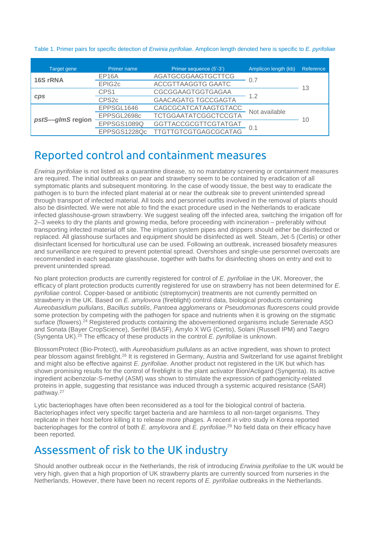Table 1. Primer pairs for specific detection of *Erwinia pyrifoliae.* Amplicon length denoted here is specific to *E. pyrifoliae*

| Target gene      | Primer name        | Primer sequence (5'-3')     | Amplicon length (kb) | Reference |
|------------------|--------------------|-----------------------------|----------------------|-----------|
| 16S rRNA         | EP <sub>16</sub> A | AGATGCGGAAGTGCTTCG          | 0.7                  | 13        |
|                  | EPIG2c             | <b>ACCGTTAAGGTG GAATC</b>   |                      |           |
| <b>CDS</b>       | CPS1               | CGCGGAAGTGGTGAGAA           | 1.2                  |           |
|                  | CPS <sub>2c</sub>  | <b>GAACAGATG TGCCGAGTA</b>  |                      |           |
| pstS-glmS region | EPPSGL1646         | CAGCGCATCATAAGTGTACC        | Not available        | 10        |
|                  | EPPSGL2698c        | <b>TCTGGAATATCGGCTCCGTA</b> |                      |           |
|                  | EPPSGS1089Q        | GGTTACCGCGTTCGTATGAT        | 0.1                  |           |
|                  | EPPSGS1228Qc       | <b>TTGTTGTCGTGAGCGCATAG</b> |                      |           |

### Reported control and containment measures

*Erwinia pyrifoliae* is not listed as a quarantine disease, so no mandatory screening or containment measures are required. The initial outbreaks on pear and strawberry seem to be contained by eradication of all symptomatic plants and subsequent monitoring. In the case of woody tissue, the best way to eradicate the pathogen is to burn the infected plant material at or near the outbreak site to prevent unintended spread through transport of infected material. All tools and personnel outfits involved in the removal of plants should also be disinfected. We were not able to find the exact procedure used in the Netherlands to eradicate infected glasshouse-grown strawberry. We suggest sealing off the infected area, switching the irrigation off for 2–3 weeks to dry the plants and growing media, before proceeding with incineration – preferably without transporting infected material off site. The irrigation system pipes and drippers should either be disinfected or replaced. All glasshouse surfaces and equipment should be disinfected as well. Steam, Jet-5 (Certis) or other disinfectant licensed for horticultural use can be used. Following an outbreak, increased biosafety measures and surveillance are required to prevent potential spread. Overshoes and single-use personnel overcoats are recommended in each separate glasshouse, together with baths for disinfecting shoes on entry and exit to prevent unintended spread.

No plant protection products are currently registered for control of *E. pyrifoliae* in the UK. Moreover, the efficacy of plant protection products currently registered for use on strawberry has not been determined for *E. pyrifoliae* control. Copper-based or antibiotic (streptomycin) treatments are not currently permitted on strawberry in the UK. Based on *E. amylovora* (fireblight) control data, biological products containing *Aureobasidium pullulans*, *Bacillus subtilis*, *Pantoea agglomerans* or *Pseudomonas fluorescens* could provide some protection by competing with the pathogen for space and nutrients when it is growing on the stigmatic surface (flowers).<sup>24</sup> Registered products containing the abovementioned organisms include Serenade ASO and Sonata (Bayer CropScience), Serifel (BASF), Amylo X WG (Certis), Solani (Russell IPM) and Taegro (Syngenta UK). <sup>25</sup> The efficacy of these products in the control *E. pyrifoliae* is unknown.

BlossomProtect (Bio-Protect), with *Aureobasidium pullulans* as an active ingredient, was shown to protect pear blossom against fireblight.<sup>26</sup> It is registered in Germany, Austria and Switzerland for use against fireblight and might also be effective against *E. pyrifoliae*. Another product not registered in the UK but which has shown promising results for the control of fireblight is the plant activator Bion/Actigard (Syngenta). Its active ingredient acibenzolar-S-methyl (ASM) was shown to stimulate the expression of pathogenicity-related proteins in apple, suggesting that resistance was induced through a systemic acquired resistance (SAR) pathway. 27

Lytic bacteriophages have often been reconsidered as a tool for the biological control of bacteria. Bacteriophages infect very specific target bacteria and are harmless to all non-target organisms. They replicate in their host before killing it to release more phages. A recent *in vitro* study in Korea reported bacteriophages for the control of both *E. amylovora* and *E. pyrifoliae*. <sup>29</sup> No field data on their efficacy have been reported.

## Assessment of risk to the UK industry

Should another outbreak occur in the Netherlands, the risk of introducing *Erwinia pyrifoliae* to the UK would be very high, given that a high proportion of UK strawberry plants are currently sourced from nurseries in the Netherlands. However, there have been no recent reports of *E. pyrifoliae* outbreaks in the Netherlands.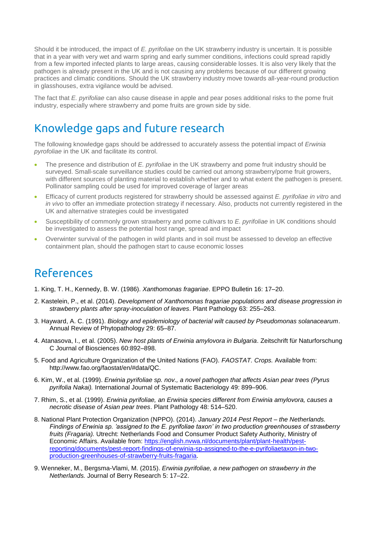Should it be introduced, the impact of *E. pyrifoliae* on the UK strawberry industry is uncertain. It is possible that in a year with very wet and warm spring and early summer conditions, infections could spread rapidly from a few imported infected plants to large areas, causing considerable losses. It is also very likely that the pathogen is already present in the UK and is not causing any problems because of our different growing practices and climatic conditions. Should the UK strawberry industry move towards all-year-round production in glasshouses, extra vigilance would be advised.

The fact that *E. pyrifoliae* can also cause disease in apple and pear poses additional risks to the pome fruit industry, especially where strawberry and pome fruits are grown side by side.

## Knowledge gaps and future research

The following knowledge gaps should be addressed to accurately assess the potential impact of *Erwinia pyrofoliae* in the UK and facilitate its control.

- The presence and distribution of *E. pyrifoliae* in the UK strawberry and pome fruit industry should be surveyed. Small-scale surveillance studies could be carried out among strawberry/pome fruit growers, with different sources of planting material to establish whether and to what extent the pathogen is present. Pollinator sampling could be used for improved coverage of larger areas
- Efficacy of current products registered for strawberry should be assessed against *E. pyrifoliae in vitro* and *in vivo* to offer an immediate protection strategy if necessary. Also, products not currently registered in the UK and alternative strategies could be investigated
- Susceptibility of commonly grown strawberry and pome cultivars to *E. pyrifoliae* in UK conditions should be investigated to assess the potential host range, spread and impact
- Overwinter survival of the pathogen in wild plants and in soil must be assessed to develop an effective containment plan, should the pathogen start to cause economic losses

## References

- 1. King, T. H., Kennedy, B. W. (1986). *Xanthomonas fragariae*. EPPO Bulletin 16: 17–20.
- 2. Kastelein, P., et al. (2014). *Development of Xanthomonas fragariae populations and disease progression in strawberry plants after spray-inoculation of leaves*. Plant Pathology 63: 255–263.
- 3. Hayward, A. C. (1991). *Biology and epidemiology of bacterial wilt caused by Pseudomonas solanacearum*. Annual Review of Phytopathology 29: 65–87.
- 4. Atanasova, I., et al. (2005). *New host plants of Erwinia amylovora in Bulgaria*. Zeitschrift für Naturforschung C Journal of Biosciences 60:892–898.
- 5. Food and Agriculture Organization of the United Nations (FAO). *FAOSTAT. Crops.* Available from: http://www.fao.org/faostat/en/#data/QC.
- 6. Kim, W., et al. (1999). *Erwinia pyrifoliae sp. nov., a novel pathogen that affects Asian pear trees (Pyrus pyrifolia Nakai).* International Journal of Systematic Bacteriology 49: 899–906.
- 7. Rhim, S., et al. (1999). *Erwinia pyrifoliae, an Erwinia species different from Erwinia amylovora, causes a necrotic disease of Asian pear trees*. Plant Pathology 48: 514–520.
- 8. National Plant Protection Organization (NPPO). (2014). *January 2014 Pest Report – the Netherlands. Findings of Erwinia sp. 'assigned to the E. pyrifoliae taxon' in two production greenhouses of strawberry fruits (Fragaria).* Utrecht: Netherlands Food and Consumer Product Safety Authority, Ministry of Economic Affairs. Available from: [https://english.nvwa.nl/documents/plant/plant-health/pest](https://english.nvwa.nl/documents/plant/plant-health/pest-reporting/documents/pest-report-findings-of-erwinia-sp-assigned-to-the-e-pyrifoliaetaxon-in-two-production-greenhouses-of-strawberry-fruits-fragaria)[reporting/documents/pest-report-findings-of-erwinia-sp-assigned-to-the-e-pyrifoliaetaxon-in-two](https://english.nvwa.nl/documents/plant/plant-health/pest-reporting/documents/pest-report-findings-of-erwinia-sp-assigned-to-the-e-pyrifoliaetaxon-in-two-production-greenhouses-of-strawberry-fruits-fragaria)[production-greenhouses-of-strawberry-fruits-fragaria.](https://english.nvwa.nl/documents/plant/plant-health/pest-reporting/documents/pest-report-findings-of-erwinia-sp-assigned-to-the-e-pyrifoliaetaxon-in-two-production-greenhouses-of-strawberry-fruits-fragaria)
- 9. Wenneker, M., Bergsma-Vlami, M. (2015). *Erwinia pyrifoliae, a new pathogen on strawberry in the Netherlands.* Journal of Berry Research 5: 17–22.